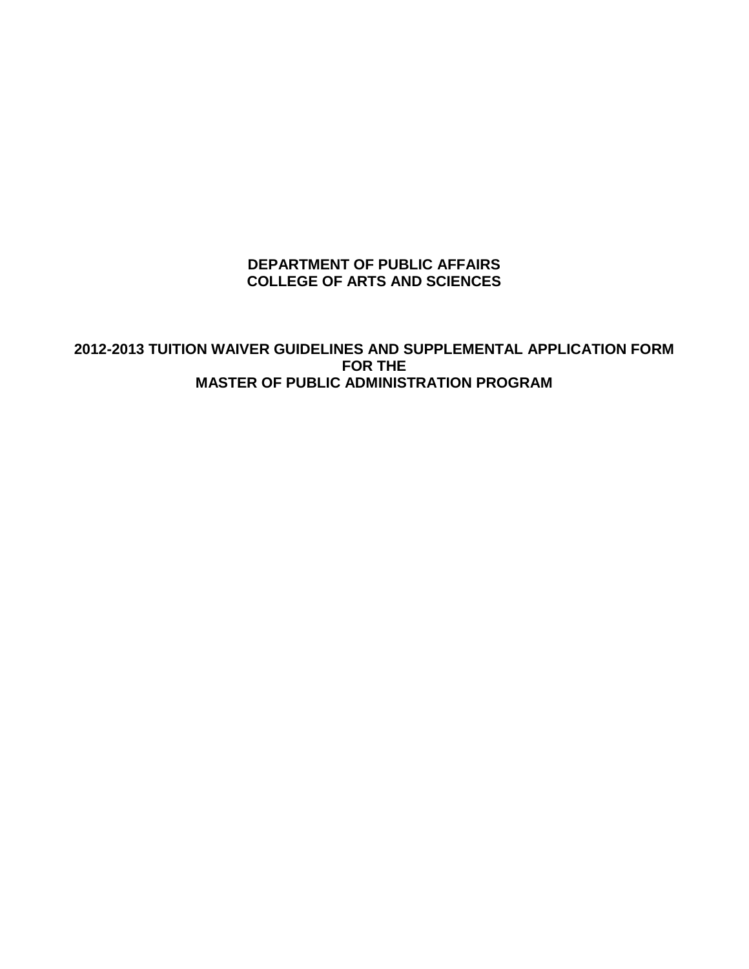## **DEPARTMENT OF PUBLIC AFFAIRS COLLEGE OF ARTS AND SCIENCES**

**2012-2013 TUITION WAIVER GUIDELINES AND SUPPLEMENTAL APPLICATION FORM FOR THE MASTER OF PUBLIC ADMINISTRATION PROGRAM**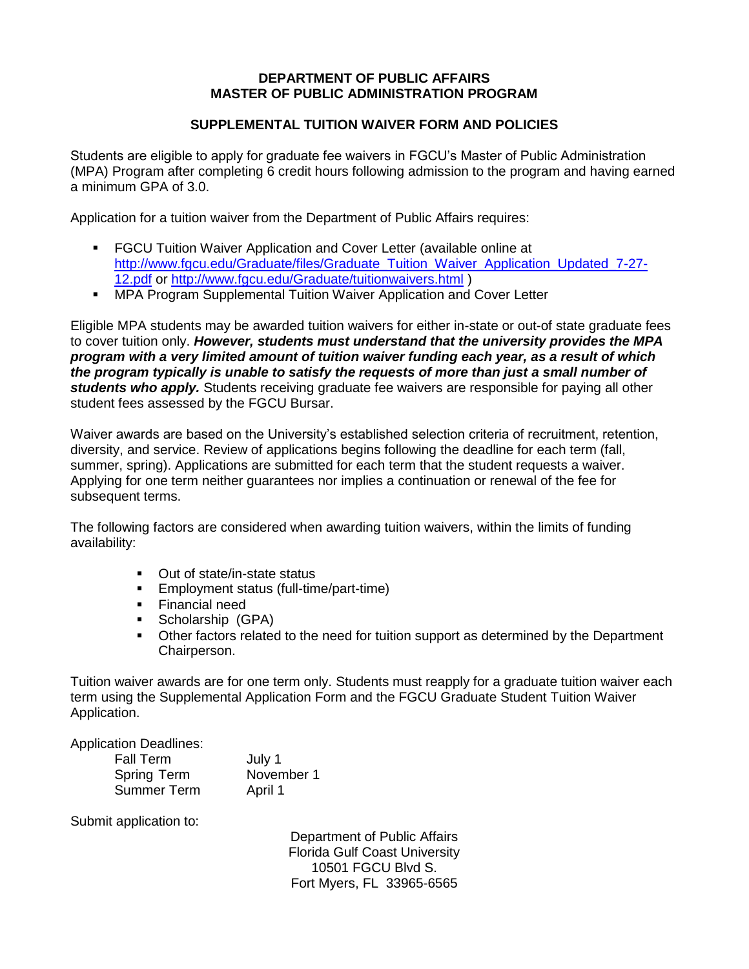## **DEPARTMENT OF PUBLIC AFFAIRS MASTER OF PUBLIC ADMINISTRATION PROGRAM**

## **SUPPLEMENTAL TUITION WAIVER FORM AND POLICIES**

Students are eligible to apply for graduate fee waivers in FGCU's Master of Public Administration (MPA) Program after completing 6 credit hours following admission to the program and having earned a minimum GPA of 3.0.

Application for a tuition waiver from the Department of Public Affairs requires:

- **FGCU Tuition Waiver Application and Cover Letter (available online at** http://www.facu.edu/Graduate/files/Graduate\_Tuition\_Waiver\_Application\_Updated\_7-27-[12.pdf](http://www.fgcu.edu/Graduate/files/Graduate_Tuition_Waiver_Application_Updated_7-27-12.pdf) or<http://www.fgcu.edu/Graduate/tuitionwaivers.html> )
- **MPA Program Supplemental Tuition Waiver Application and Cover Letter**

Eligible MPA students may be awarded tuition waivers for either in-state or out-of state graduate fees to cover tuition only. *However, students must understand that the university provides the MPA program with a very limited amount of tuition waiver funding each year, as a result of which the program typically is unable to satisfy the requests of more than just a small number of students who apply.* Students receiving graduate fee waivers are responsible for paying all other student fees assessed by the FGCU Bursar.

Waiver awards are based on the University's established selection criteria of recruitment, retention, diversity, and service. Review of applications begins following the deadline for each term (fall, summer, spring). Applications are submitted for each term that the student requests a waiver. Applying for one term neither guarantees nor implies a continuation or renewal of the fee for subsequent terms.

The following factors are considered when awarding tuition waivers, within the limits of funding availability:

- Out of state/in-state status
- Employment status (full-time/part-time)
- **Financial need**
- **Scholarship (GPA)**
- Other factors related to the need for tuition support as determined by the Department Chairperson.

Tuition waiver awards are for one term only. Students must reapply for a graduate tuition waiver each term using the Supplemental Application Form and the FGCU Graduate Student Tuition Waiver Application.

Application Deadlines:

| <b>Fall Term</b>   | July 1     |
|--------------------|------------|
| <b>Spring Term</b> | November 1 |
| <b>Summer Term</b> | April 1    |

Submit application to:

Department of Public Affairs Florida Gulf Coast University 10501 FGCU Blvd S. Fort Myers, FL 33965-6565